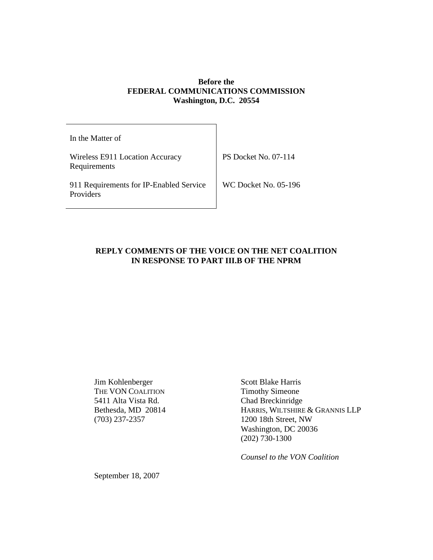### **Before the FEDERAL COMMUNICATIONS COMMISSION Washington, D.C. 20554**

| In the Matter of                                     |                             |
|------------------------------------------------------|-----------------------------|
| Wireless E911 Location Accuracy<br>Requirements      | <b>PS Docket No. 07-114</b> |
| 911 Requirements for IP-Enabled Service<br>Providers | <b>WC Docket No. 05-196</b> |

#### **REPLY COMMENTS OF THE VOICE ON THE NET COALITION IN RESPONSE TO PART III.B OF THE NPRM**

Jim Kohlenberger Scott Blake Harris<br>
THE VON COALITION Timothy Simeone THE VON COALITION 5411 Alta Vista Rd. Chad Breckinridge (703) 237-2357 1200 18th Street, NW

Bethesda, MD 20814 HARRIS, WILTSHIRE & GRANNIS LLP Washington, DC 20036 (202) 730-1300

*Counsel to the VON Coalition*

September 18, 2007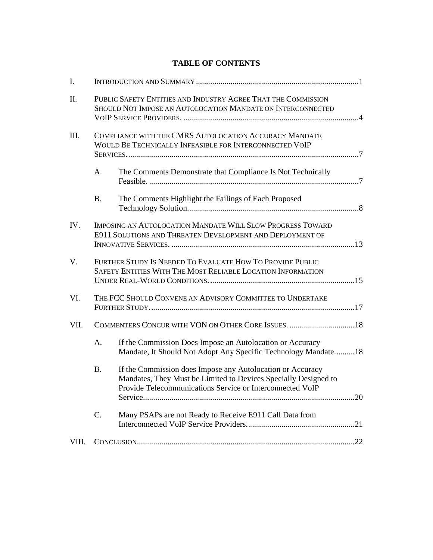# **TABLE OF CONTENTS**

| I.    |                                                                                                                              |                                                                                                                                                                                            |  |
|-------|------------------------------------------------------------------------------------------------------------------------------|--------------------------------------------------------------------------------------------------------------------------------------------------------------------------------------------|--|
| Π.    | PUBLIC SAFETY ENTITIES AND INDUSTRY AGREE THAT THE COMMISSION<br>SHOULD NOT IMPOSE AN AUTOLOCATION MANDATE ON INTERCONNECTED |                                                                                                                                                                                            |  |
| III.  |                                                                                                                              | COMPLIANCE WITH THE CMRS AUTOLOCATION ACCURACY MANDATE<br>WOULD BE TECHNICALLY INFEASIBLE FOR INTERCONNECTED VOIP                                                                          |  |
|       | A.                                                                                                                           | The Comments Demonstrate that Compliance Is Not Technically                                                                                                                                |  |
|       | <b>B.</b>                                                                                                                    | The Comments Highlight the Failings of Each Proposed                                                                                                                                       |  |
| IV.   | IMPOSING AN AUTOLOCATION MANDATE WILL SLOW PROGRESS TOWARD<br>E911 SOLUTIONS AND THREATEN DEVELOPMENT AND DEPLOYMENT OF      |                                                                                                                                                                                            |  |
| V.    | FURTHER STUDY IS NEEDED TO EVALUATE HOW TO PROVIDE PUBLIC<br>SAFETY ENTITIES WITH THE MOST RELIABLE LOCATION INFORMATION     |                                                                                                                                                                                            |  |
| VI.   | THE FCC SHOULD CONVENE AN ADVISORY COMMITTEE TO UNDERTAKE                                                                    |                                                                                                                                                                                            |  |
| VII.  |                                                                                                                              | COMMENTERS CONCUR WITH VON ON OTHER CORE ISSUES.  18                                                                                                                                       |  |
|       | A.                                                                                                                           | If the Commission Does Impose an Autolocation or Accuracy<br>Mandate, It Should Not Adopt Any Specific Technology Mandate 18                                                               |  |
|       | <b>B.</b>                                                                                                                    | If the Commission does Impose any Autolocation or Accuracy<br>Mandates, They Must be Limited to Devices Specially Designed to<br>Provide Telecommunications Service or Interconnected VoIP |  |
|       | C.                                                                                                                           | Many PSAPs are not Ready to Receive E911 Call Data from                                                                                                                                    |  |
| VIII. |                                                                                                                              |                                                                                                                                                                                            |  |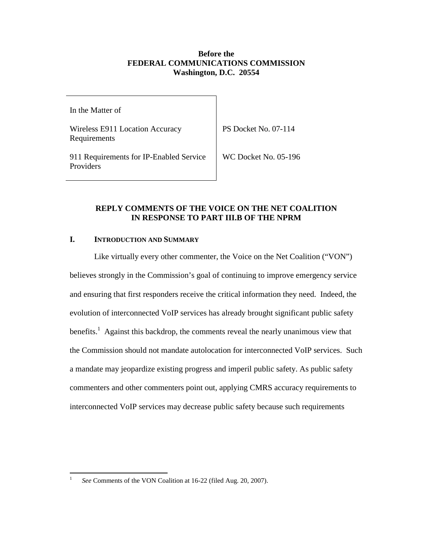#### **Before the FEDERAL COMMUNICATIONS COMMISSION Washington, D.C. 20554**

In the Matter of

Wireless E911 Location Accuracy Requirements

PS Docket No. 07-114

911 Requirements for IP-Enabled Service Providers

WC Docket No. 05-196

### **REPLY COMMENTS OF THE VOICE ON THE NET COALITION IN RESPONSE TO PART III.B OF THE NPRM**

### **I. INTRODUCTION AND SUMMARY**

Like virtually every other commenter, the Voice on the Net Coalition ("VON") believes strongly in the Commission's goal of continuing to improve emergency service and ensuring that first responders receive the critical information they need. Indeed, the evolution of interconnected VoIP services has already brought significant public safety benefits.<sup>1</sup> Against this backdrop, the comments reveal the nearly unanimous view that the Commission should not mandate autolocation for interconnected VoIP services. Such a mandate may jeopardize existing progress and imperil public safety. As public safety commenters and other commenters point out, applying CMRS accuracy requirements to interconnected VoIP services may decrease public safety because such requirements

<sup>1</sup> *See* Comments of the VON Coalition at 16-22 (filed Aug. 20, 2007).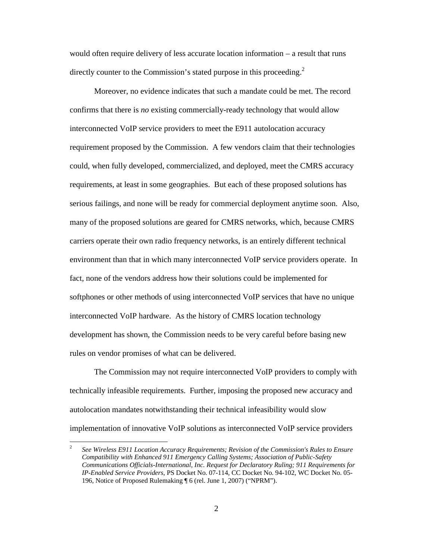would often require delivery of less accurate location information – a result that runs directly counter to the Commission's stated purpose in this proceeding.<sup>2</sup>

Moreover, no evidence indicates that such a mandate could be met. The record confirms that there is *no* existing commercially-ready technology that would allow interconnected VoIP service providers to meet the E911 autolocation accuracy requirement proposed by the Commission. A few vendors claim that their technologies could, when fully developed, commercialized, and deployed, meet the CMRS accuracy requirements, at least in some geographies. But each of these proposed solutions has serious failings, and none will be ready for commercial deployment anytime soon. Also, many of the proposed solutions are geared for CMRS networks, which, because CMRS carriers operate their own radio frequency networks, is an entirely different technical environment than that in which many interconnected VoIP service providers operate. In fact, none of the vendors address how their solutions could be implemented for softphones or other methods of using interconnected VoIP services that have no unique interconnected VoIP hardware. As the history of CMRS location technology development has shown, the Commission needs to be very careful before basing new rules on vendor promises of what can be delivered.

The Commission may not require interconnected VoIP providers to comply with technically infeasible requirements. Further, imposing the proposed new accuracy and autolocation mandates notwithstanding their technical infeasibility would slow implementation of innovative VoIP solutions as interconnected VoIP service providers

<sup>2</sup> *See Wireless E911 Location Accuracy Requirements; Revision of the Commission's Rules to Ensure Compatibility with Enhanced 911 Emergency Calling Systems; Association of Public-Safety Communications Officials-International, Inc. Request for Declaratory Ruling; 911 Requirements for IP-Enabled Service Providers*, PS Docket No. 07-114, CC Docket No. 94-102, WC Docket No. 05- 196, Notice of Proposed Rulemaking ¶ 6 (rel. June 1, 2007) ("NPRM").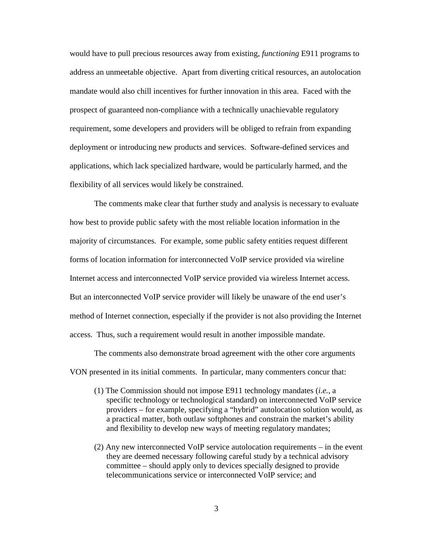would have to pull precious resources away from existing, *functioning* E911 programs to address an unmeetable objective. Apart from diverting critical resources, an autolocation mandate would also chill incentives for further innovation in this area. Faced with the prospect of guaranteed non-compliance with a technically unachievable regulatory requirement, some developers and providers will be obliged to refrain from expanding deployment or introducing new products and services. Software-defined services and applications, which lack specialized hardware, would be particularly harmed, and the flexibility of all services would likely be constrained.

The comments make clear that further study and analysis is necessary to evaluate how best to provide public safety with the most reliable location information in the majority of circumstances. For example, some public safety entities request different forms of location information for interconnected VoIP service provided via wireline Internet access and interconnected VoIP service provided via wireless Internet access. But an interconnected VoIP service provider will likely be unaware of the end user's method of Internet connection, especially if the provider is not also providing the Internet access. Thus, such a requirement would result in another impossible mandate.

The comments also demonstrate broad agreement with the other core arguments VON presented in its initial comments. In particular, many commenters concur that:

- (1) The Commission should not impose E911 technology mandates (*i.e.*, a specific technology or technological standard) on interconnected VoIP service providers – for example, specifying a "hybrid" autolocation solution would, as a practical matter, both outlaw softphones and constrain the market's ability and flexibility to develop new ways of meeting regulatory mandates;
- (2) Any new interconnected VoIP service autolocation requirements in the event they are deemed necessary following careful study by a technical advisory committee – should apply only to devices specially designed to provide telecommunications service or interconnected VoIP service; and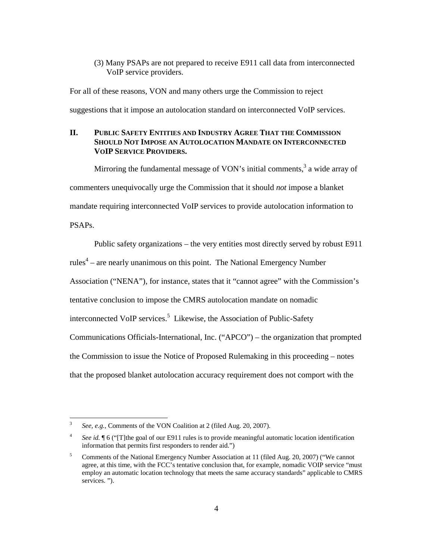(3) Many PSAPs are not prepared to receive E911 call data from interconnected VoIP service providers.

For all of these reasons, VON and many others urge the Commission to reject suggestions that it impose an autolocation standard on interconnected VoIP services.

#### **II. PUBLIC SAFETY ENTITIES AND INDUSTRY AGREE THAT THE COMMISSION SHOULD NOT IMPOSE AN AUTOLOCATION MANDATE ON INTERCONNECTED VOIP SERVICE PROVIDERS.**

Mirroring the fundamental message of VON's initial comments,  $3$  a wide array of commenters unequivocally urge the Commission that it should *not* impose a blanket mandate requiring interconnected VoIP services to provide autolocation information to PSAPs.

Public safety organizations – the very entities most directly served by robust E911 rules<sup>4</sup> – are nearly unanimous on this point. The National Emergency Number Association ("NENA"), for instance, states that it "cannot agree" with the Commission's tentative conclusion to impose the CMRS autolocation mandate on nomadic interconnected VoIP services.<sup>5</sup> Likewise, the Association of Public-Safety Communications Officials-International, Inc. ("APCO") – the organization that prompted the Commission to issue the Notice of Proposed Rulemaking in this proceeding – notes that the proposed blanket autolocation accuracy requirement does not comport with the

<sup>3</sup> *See, e.g.,* Comments of the VON Coalition at 2 (filed Aug. 20, 2007).

<sup>4</sup> *See id.*  $\parallel$  6 ("[T]the goal of our E911 rules is to provide meaningful automatic location identification information that permits first responders to render aid.")

<sup>5</sup> Comments of the National Emergency Number Association at 11 (filed Aug. 20, 2007) ("We cannot agree, at this time, with the FCC's tentative conclusion that, for example, nomadic VOIP service "must employ an automatic location technology that meets the same accuracy standards" applicable to CMRS services. ").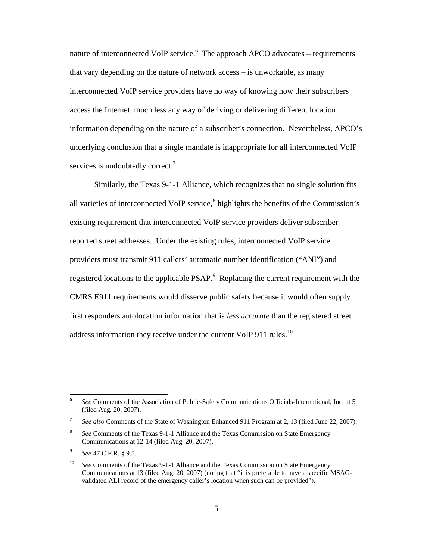nature of interconnected VoIP service.<sup>6</sup> The approach APCO advocates – requirements that vary depending on the nature of network access – is unworkable, as many interconnected VoIP service providers have no way of knowing how their subscribers access the Internet, much less any way of deriving or delivering different location information depending on the nature of a subscriber's connection. Nevertheless, APCO's underlying conclusion that a single mandate is inappropriate for all interconnected VoIP services is undoubtedly correct.<sup>7</sup>

Similarly, the Texas 9-1-1 Alliance, which recognizes that no single solution fits all varieties of interconnected VoIP service,<sup>8</sup> highlights the benefits of the Commission's existing requirement that interconnected VoIP service providers deliver subscriberreported street addresses. Under the existing rules, interconnected VoIP service providers must transmit 911 callers' automatic number identification ("ANI") and registered locations to the applicable PSAP.<sup>9</sup> Replacing the current requirement with the CMRS E911 requirements would disserve public safety because it would often supply first responders autolocation information that is *less accurate* than the registered street address information they receive under the current VoIP 911 rules.<sup>10</sup>

<sup>6</sup> *See* Comments of the Association of Public-Safety Communications Officials-International, Inc. at 5 (filed Aug. 20, 2007).

<sup>7</sup> See also Comments of the State of Washington Enhanced 911 Program at 2, 13 (filed June 22, 2007).

<sup>8</sup> *See* Comments of the Texas 9-1-1 Alliance and the Texas Commission on State Emergency Communications at 12-14 (filed Aug. 20, 2007).

<sup>9</sup> *See* 47 C.F.R. § 9.5.

<sup>10</sup> *See* Comments of the Texas 9-1-1 Alliance and the Texas Commission on State Emergency Communications at 13 (filed Aug. 20, 2007) (noting that "it is preferable to have a specific MSAGvalidated ALI record of the emergency caller's location when such can be provided").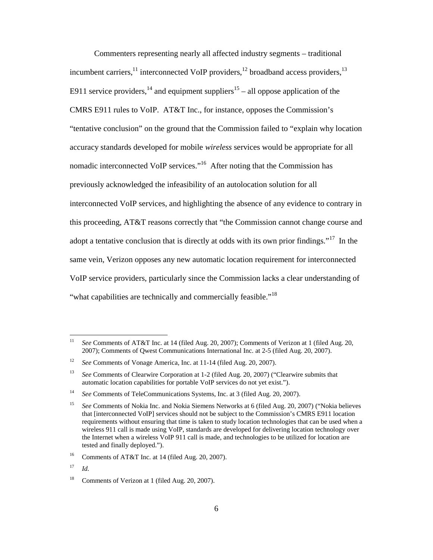Commenters representing nearly all affected industry segments – traditional incumbent carriers,  $^{11}$  interconnected VoIP providers,  $^{12}$  broadband access providers,  $^{13}$ E911 service providers,  $^{14}$  and equipment suppliers  $^{15}$  – all oppose application of the CMRS E911 rules to VoIP. AT&T Inc., for instance, opposes the Commission's "tentative conclusion" on the ground that the Commission failed to "explain why location accuracy standards developed for mobile *wireless* services would be appropriate for all nomadic interconnected VoIP services."<sup>16</sup> After noting that the Commission has previously acknowledged the infeasibility of an autolocation solution for all interconnected VoIP services, and highlighting the absence of any evidence to contrary in this proceeding, AT&T reasons correctly that "the Commission cannot change course and adopt a tentative conclusion that is directly at odds with its own prior findings."<sup>17</sup> In the same vein, Verizon opposes any new automatic location requirement for interconnected VoIP service providers, particularly since the Commission lacks a clear understanding of "what capabilities are technically and commercially feasible."<sup>18</sup>

<sup>11</sup> *See* Comments of AT&T Inc. at 14 (filed Aug. 20, 2007); Comments of Verizon at 1 (filed Aug. 20, 2007); Comments of Qwest Communications International Inc. at 2-5 (filed Aug. 20, 2007).

<sup>&</sup>lt;sup>12</sup> *See* Comments of Vonage America, Inc. at 11-14 (filed Aug. 20, 2007).

<sup>13</sup> *See* Comments of Clearwire Corporation at 1-2 (filed Aug. 20, 2007) ("Clearwire submits that automatic location capabilities for portable VoIP services do not yet exist.").

<sup>14</sup> *See* Comments of TeleCommunications Systems, Inc. at 3 (filed Aug. 20, 2007).

<sup>15</sup> *See* Comments of Nokia Inc. and Nokia Siemens Networks at 6 (filed Aug. 20, 2007) ("Nokia believes that [interconnected VoIP] services should not be subject to the Commission's CMRS E911 location requirements without ensuring that time is taken to study location technologies that can be used when a wireless 911 call is made using VoIP, standards are developed for delivering location technology over the Internet when a wireless VoIP 911 call is made, and technologies to be utilized for location are tested and finally deployed.").

<sup>&</sup>lt;sup>16</sup> Comments of AT&T Inc. at 14 (filed Aug. 20, 2007).

<sup>17</sup> *Id.*

<sup>&</sup>lt;sup>18</sup> Comments of Verizon at 1 (filed Aug. 20, 2007).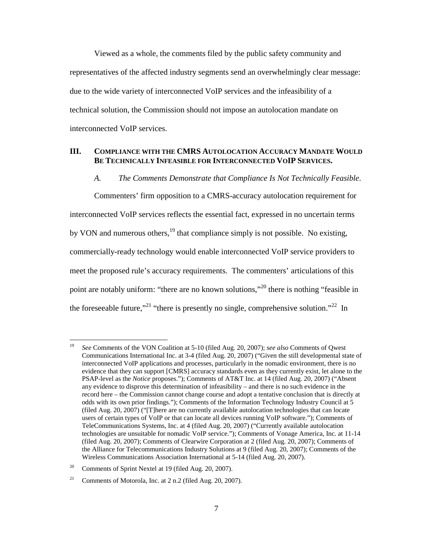Viewed as a whole, the comments filed by the public safety community and representatives of the affected industry segments send an overwhelmingly clear message: due to the wide variety of interconnected VoIP services and the infeasibility of a technical solution, the Commission should not impose an autolocation mandate on interconnected VoIP services.

#### **III. COMPLIANCE WITH THE CMRS AUTOLOCATION ACCURACY MANDATE WOULD BE TECHNICALLY INFEASIBLE FOR INTERCONNECTED VOIP SERVICES.**

*A. The Comments Demonstrate that Compliance Is Not Technically Feasible.*

Commenters' firm opposition to a CMRS-accuracy autolocation requirement for interconnected VoIP services reflects the essential fact, expressed in no uncertain terms by VON and numerous others,<sup>19</sup> that compliance simply is not possible. No existing, commercially-ready technology would enable interconnected VoIP service providers to meet the proposed rule's accuracy requirements. The commenters' articulations of this point are notably uniform: "there are no known solutions,"<sup>20</sup> there is nothing "feasible in the foreseeable future,"<sup>21</sup> "there is presently no single, comprehensive solution."<sup>22</sup> In

<sup>19</sup> *See* Comments of the VON Coalition at 5-10 (filed Aug. 20, 2007); *see also* Comments of Qwest Communications International Inc. at 3-4 (filed Aug. 20, 2007) ("Given the still developmental state of interconnected VoIP applications and processes, particularly in the nomadic environment, there is no evidence that they can support [CMRS] accuracy standards even as they currently exist, let alone to the PSAP-level as the *Notice* proposes."); Comments of AT&T Inc. at 14 (filed Aug. 20, 2007) ("Absent any evidence to disprove this determination of infeasibility – and there is no such evidence in the record here – the Commission cannot change course and adopt a tentative conclusion that is directly at odds with its own prior findings."); Comments of the Information Technology Industry Council at 5 (filed Aug. 20, 2007) ("[T]here are no currently available autolocation technologies that can locate users of certain types of VoIP or that can locate all devices running VoIP software."); Comments of TeleCommunications Systems, Inc. at 4 (filed Aug. 20, 2007) ("Currently available autolocation technologies are unsuitable for nomadic VoIP service."); Comments of Vonage America, Inc. at 11-14 (filed Aug. 20, 2007); Comments of Clearwire Corporation at 2 (filed Aug. 20, 2007); Comments of the Alliance for Telecommunications Industry Solutions at 9 (filed Aug. 20, 2007); Comments of the Wireless Communications Association International at 5-14 (filed Aug. 20, 2007).

<sup>&</sup>lt;sup>20</sup> Comments of Sprint Nextel at 19 (filed Aug. 20, 2007).

<sup>&</sup>lt;sup>21</sup> Comments of Motorola, Inc. at  $2$  n.2 (filed Aug. 20, 2007).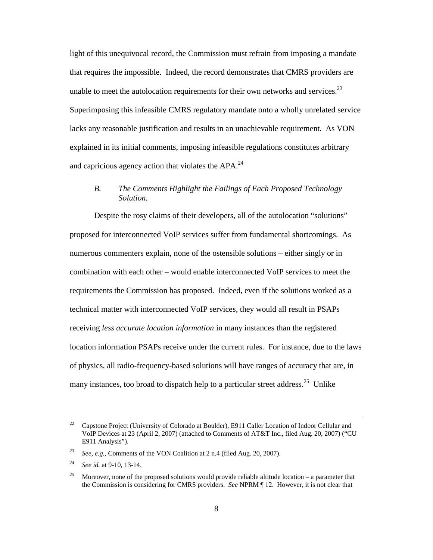light of this unequivocal record, the Commission must refrain from imposing a mandate that requires the impossible. Indeed, the record demonstrates that CMRS providers are unable to meet the autolocation requirements for their own networks and services. $^{23}$ Superimposing this infeasible CMRS regulatory mandate onto a wholly unrelated service lacks any reasonable justification and results in an unachievable requirement. As VON explained in its initial comments, imposing infeasible regulations constitutes arbitrary and capricious agency action that violates the  $APA<sup>24</sup>$ .

## *B. The Comments Highlight the Failings of Each Proposed Technology Solution.*

Despite the rosy claims of their developers, all of the autolocation "solutions" proposed for interconnected VoIP services suffer from fundamental shortcomings. As numerous commenters explain, none of the ostensible solutions – either singly or in combination with each other – would enable interconnected VoIP services to meet the requirements the Commission has proposed. Indeed, even if the solutions worked as a technical matter with interconnected VoIP services, they would all result in PSAPs receiving *less accurate location information* in many instances than the registered location information PSAPs receive under the current rules. For instance, due to the laws of physics, all radio-frequency-based solutions will have ranges of accuracy that are, in many instances, too broad to dispatch help to a particular street address.<sup>25</sup> Unlike

<sup>&</sup>lt;sup>22</sup> Capstone Project (University of Colorado at Boulder), E911 Caller Location of Indoor Cellular and VoIP Devices at 23 (April 2, 2007) (attached to Comments of AT&T Inc., filed Aug. 20, 2007) ("CU E911 Analysis").

<sup>23</sup> *See, e.g.,* Comments of the VON Coalition at 2 n.4 (filed Aug. 20, 2007).

<sup>24</sup> *See id.* at 9-10, 13-14.

<sup>&</sup>lt;sup>25</sup> Moreover, none of the proposed solutions would provide reliable altitude location – a parameter that the Commission is considering for CMRS providers. *See* NPRM ¶ 12. However, it is not clear that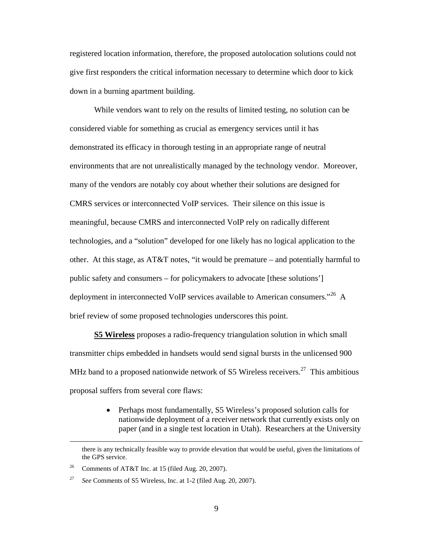registered location information, therefore, the proposed autolocation solutions could not give first responders the critical information necessary to determine which door to kick down in a burning apartment building.

While vendors want to rely on the results of limited testing, no solution can be considered viable for something as crucial as emergency services until it has demonstrated its efficacy in thorough testing in an appropriate range of neutral environments that are not unrealistically managed by the technology vendor. Moreover, many of the vendors are notably coy about whether their solutions are designed for CMRS services or interconnected VoIP services. Their silence on this issue is meaningful, because CMRS and interconnected VoIP rely on radically different technologies, and a "solution" developed for one likely has no logical application to the other. At this stage, as AT&T notes, "it would be premature – and potentially harmful to public safety and consumers – for policymakers to advocate [these solutions'] deployment in interconnected VoIP services available to American consumers."<sup>26</sup> A brief review of some proposed technologies underscores this point.

**S5 Wireless** proposes a radio-frequency triangulation solution in which small transmitter chips embedded in handsets would send signal bursts in the unlicensed 900 MHz band to a proposed nationwide network of S5 Wireless receivers.<sup>27</sup> This ambitious proposal suffers from several core flaws:

> • Perhaps most fundamentally, S5 Wireless's proposed solution calls for nationwide deployment of a receiver network that currently exists only on paper (and in a single test location in Utah). Researchers at the University

there is any technically feasible way to provide elevation that would be useful, given the limitations of the GPS service.

<sup>&</sup>lt;sup>26</sup> Comments of AT&T Inc. at 15 (filed Aug. 20, 2007).

<sup>27</sup> *See* Comments of S5 Wireless, Inc. at 1-2 (filed Aug. 20, 2007).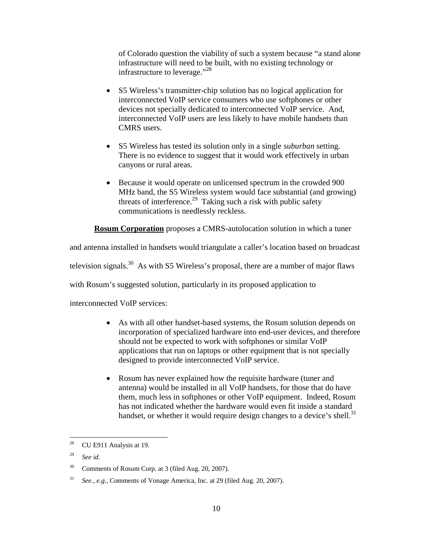of Colorado question the viability of such a system because "a stand alone infrastructure will need to be built, with no existing technology or infrastructure to leverage."<sup>28</sup>

- S5 Wireless's transmitter-chip solution has no logical application for interconnected VoIP service consumers who use softphones or other devices not specially dedicated to interconnected VoIP service. And, interconnected VoIP users are less likely to have mobile handsets than CMRS users.
- S5 Wireless has tested its solution only in a single *suburban* setting. There is no evidence to suggest that it would work effectively in urban canyons or rural areas.
- Because it would operate on unlicensed spectrum in the crowded 900 MHz band, the S5 Wireless system would face substantial (and growing) threats of interference.<sup>29</sup> Taking such a risk with public safety communications is needlessly reckless.

**Rosum Corporation** proposes a CMRS-autolocation solution in which a tuner

and antenna installed in handsets would triangulate a caller's location based on broadcast

television signals.<sup>30</sup> As with S5 Wireless's proposal, there are a number of major flaws

with Rosum's suggested solution, particularly in its proposed application to

interconnected VoIP services:

- As with all other handset-based systems, the Rosum solution depends on incorporation of specialized hardware into end-user devices, and therefore should not be expected to work with softphones or similar VoIP applications that run on laptops or other equipment that is not specially designed to provide interconnected VoIP service.
- Rosum has never explained how the requisite hardware (tuner and antenna) would be installed in all VoIP handsets, for those that do have them, much less in softphones or other VoIP equipment. Indeed, Rosum has not indicated whether the hardware would even fit inside a standard handset, or whether it would require design changes to a device's shell.<sup>31</sup>

<sup>28</sup> CU E911 Analysis at 19.

<sup>29</sup> *See id.*

<sup>&</sup>lt;sup>30</sup> Comments of Rosum Corp. at 3 (filed Aug. 20, 2007).

<sup>31</sup> *See., e.g.,* Comments of Vonage America, Inc. at 29 (filed Aug. 20, 2007).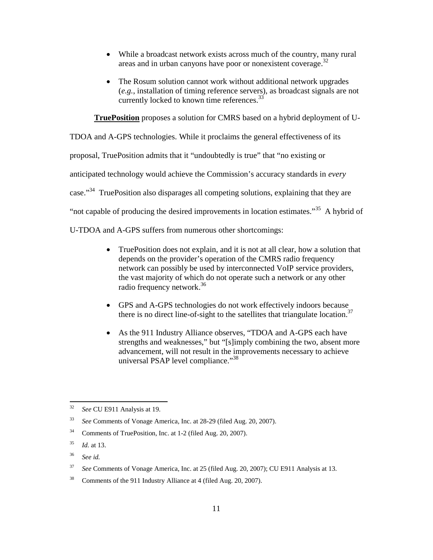- While a broadcast network exists across much of the country, many rural areas and in urban canyons have poor or nonexistent coverage.<sup>32</sup>
- The Rosum solution cannot work without additional network upgrades (*e.g.*, installation of timing reference servers), as broadcast signals are not currently locked to known time references.<sup>33</sup>

**TruePosition** proposes a solution for CMRS based on a hybrid deployment of U-

TDOA and A-GPS technologies. While it proclaims the general effectiveness of its

proposal, TruePosition admits that it "undoubtedly is true" that "no existing or

anticipated technology would achieve the Commission's accuracy standards in *every*

case."<sup>34</sup> TruePosition also disparages all competing solutions, explaining that they are

"not capable of producing the desired improvements in location estimates."<sup>35</sup> A hybrid of

U-TDOA and A-GPS suffers from numerous other shortcomings:

- TruePosition does not explain, and it is not at all clear, how a solution that depends on the provider's operation of the CMRS radio frequency network can possibly be used by interconnected VoIP service providers, the vast majority of which do not operate such a network or any other radio frequency network. 36
- GPS and A-GPS technologies do not work effectively indoors because there is no direct line-of-sight to the satellites that triangulate location.<sup>37</sup>
- As the 911 Industry Alliance observes, "TDOA and A-GPS each have strengths and weaknesses," but "[s]imply combining the two, absent more advancement, will not result in the improvements necessary to achieve universal PSAP level compliance."<sup>38</sup>

<sup>32</sup> *See* CU E911 Analysis at 19.

<sup>33</sup> *See* Comments of Vonage America, Inc. at 28-29 (filed Aug. 20, 2007).

<sup>34</sup> Comments of TruePosition, Inc. at 1-2 (filed Aug. 20, 2007).

<sup>35</sup> *Id.* at 13.

<sup>36</sup> *See id.*

<sup>37</sup> *See* Comments of Vonage America, Inc. at 25 (filed Aug. 20, 2007); CU E911 Analysis at 13.

<sup>38</sup> Comments of the 911 Industry Alliance at 4 (filed Aug. 20, 2007).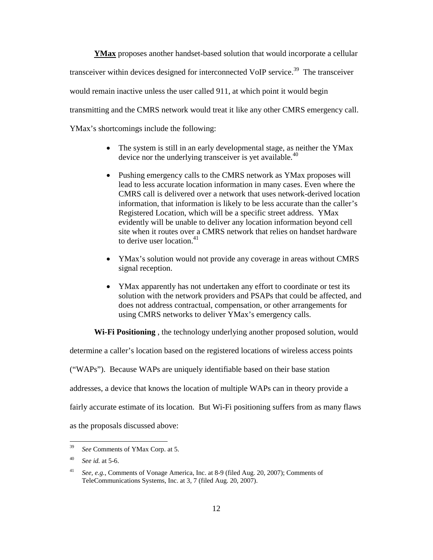**YMax** proposes another handset-based solution that would incorporate a cellular transceiver within devices designed for interconnected VoIP service.<sup>39</sup> The transceiver would remain inactive unless the user called 911, at which point it would begin transmitting and the CMRS network would treat it like any other CMRS emergency call. YMax's shortcomings include the following:

- The system is still in an early developmental stage, as neither the YMax device nor the underlying transceiver is yet available.<sup>40</sup>
- Pushing emergency calls to the CMRS network as YMax proposes will lead to less accurate location information in many cases. Even where the CMRS call is delivered over a network that uses network-derived location information, that information is likely to be less accurate than the caller's Registered Location, which will be a specific street address. YMax evidently will be unable to deliver any location information beyond cell site when it routes over a CMRS network that relies on handset hardware to derive user location. $41$
- YMax's solution would not provide any coverage in areas without CMRS signal reception.
- YMax apparently has not undertaken any effort to coordinate or test its solution with the network providers and PSAPs that could be affected, and does not address contractual, compensation, or other arrangements for using CMRS networks to deliver YMax's emergency calls.

**Wi-Fi Positioning** , the technology underlying another proposed solution, would

determine a caller's location based on the registered locations of wireless access points

("WAPs"). Because WAPs are uniquely identifiable based on their base station

addresses, a device that knows the location of multiple WAPs can in theory provide a

fairly accurate estimate of its location. But Wi-Fi positioning suffers from as many flaws

as the proposals discussed above:

<sup>39</sup> *See* Comments of YMax Corp. at 5.

<sup>40</sup> *See id.* at 5-6.

<sup>41</sup> *See, e.g.,* Comments of Vonage America, Inc. at 8-9 (filed Aug. 20, 2007); Comments of TeleCommunications Systems, Inc. at 3, 7 (filed Aug. 20, 2007).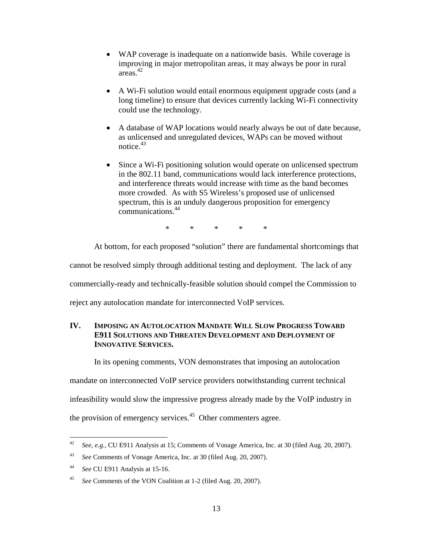- WAP coverage is inadequate on a nationwide basis. While coverage is improving in major metropolitan areas, it may always be poor in rural areas.<sup>42</sup>
- A Wi-Fi solution would entail enormous equipment upgrade costs (and a long timeline) to ensure that devices currently lacking Wi-Fi connectivity could use the technology.
- A database of WAP locations would nearly always be out of date because, as unlicensed and unregulated devices, WAPs can be moved without notice.<sup>43</sup>
- Since a Wi-Fi positioning solution would operate on unlicensed spectrum in the 802.11 band, communications would lack interference protections, and interference threats would increase with time as the band becomes more crowded. As with S5 Wireless's proposed use of unlicensed spectrum, this is an unduly dangerous proposition for emergency communications. 44

\* \* \* \* \*

At bottom, for each proposed "solution" there are fundamental shortcomings that

cannot be resolved simply through additional testing and deployment. The lack of any

commercially-ready and technically-feasible solution should compel the Commission to

reject any autolocation mandate for interconnected VoIP services.

#### **IV. IMPOSING AN AUTOLOCATION MANDATE WILL SLOW PROGRESS TOWARD E911 SOLUTIONS AND THREATEN DEVELOPMENT AND DEPLOYMENT OF INNOVATIVE SERVICES.**

In its opening comments, VON demonstrates that imposing an autolocation

mandate on interconnected VoIP service providers notwithstanding current technical

infeasibility would slow the impressive progress already made by the VoIP industry in

the provision of emergency services.<sup>45</sup> Other commenters agree.

<sup>42</sup> *See, e.g.,* CU E911 Analysis at 15; Comments of Vonage America, Inc. at 30 (filed Aug. 20, 2007).

<sup>43</sup> *See* Comments of Vonage America, Inc. at 30 (filed Aug. 20, 2007).

<sup>44</sup> *See* CU E911 Analysis at 15-16.

<sup>45</sup> *See* Comments of the VON Coalition at 1-2 (filed Aug. 20, 2007).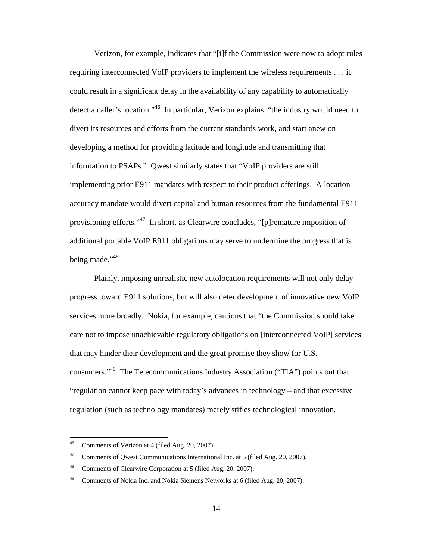Verizon, for example, indicates that "[i]f the Commission were now to adopt rules requiring interconnected VoIP providers to implement the wireless requirements . . . it could result in a significant delay in the availability of any capability to automatically detect a caller's location."<sup>46</sup> In particular, Verizon explains, "the industry would need to divert its resources and efforts from the current standards work, and start anew on developing a method for providing latitude and longitude and transmitting that information to PSAPs." Qwest similarly states that "VoIP providers are still implementing prior E911 mandates with respect to their product offerings. A location accuracy mandate would divert capital and human resources from the fundamental E911 provisioning efforts."<sup>47</sup> In short, as Clearwire concludes, "[p]remature imposition of additional portable VoIP E911 obligations may serve to undermine the progress that is being made."<sup>48</sup>

Plainly, imposing unrealistic new autolocation requirements will not only delay progress toward E911 solutions, but will also deter development of innovative new VoIP services more broadly. Nokia, for example, cautions that "the Commission should take care not to impose unachievable regulatory obligations on [interconnected VoIP] services that may hinder their development and the great promise they show for U.S. consumers."<sup>49</sup> The Telecommunications Industry Association ("TIA") points out that "regulation cannot keep pace with today's advances in technology – and that excessive regulation (such as technology mandates) merely stifles technological innovation.

<sup>46</sup> Comments of Verizon at 4 (filed Aug. 20, 2007).

<sup>&</sup>lt;sup>47</sup> Comments of Qwest Communications International Inc. at 5 (filed Aug. 20, 2007).

<sup>48</sup> Comments of Clearwire Corporation at 5 (filed Aug. 20, 2007).

<sup>&</sup>lt;sup>49</sup> Comments of Nokia Inc. and Nokia Siemens Networks at 6 (filed Aug. 20, 2007).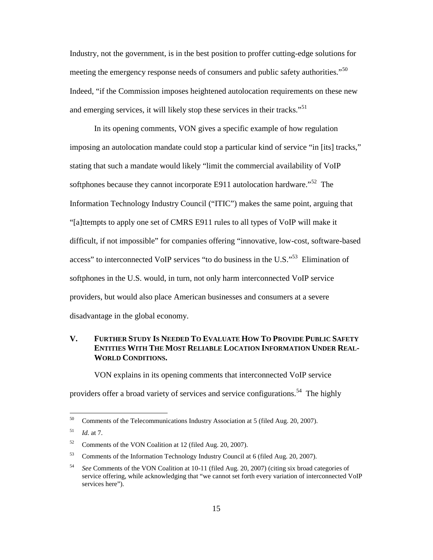Industry, not the government, is in the best position to proffer cutting-edge solutions for meeting the emergency response needs of consumers and public safety authorities."<sup>50</sup> Indeed, "if the Commission imposes heightened autolocation requirements on these new and emerging services, it will likely stop these services in their tracks."<sup>51</sup>

In its opening comments, VON gives a specific example of how regulation imposing an autolocation mandate could stop a particular kind of service "in [its] tracks," stating that such a mandate would likely "limit the commercial availability of VoIP softphones because they cannot incorporate E911 autolocation hardware."<sup>52</sup> The Information Technology Industry Council ("ITIC") makes the same point, arguing that "[a]ttempts to apply one set of CMRS E911 rules to all types of VoIP will make it difficult, if not impossible" for companies offering "innovative, low-cost, software-based access" to interconnected VoIP services "to do business in the U.S."<sup>53</sup> Elimination of softphones in the U.S. would, in turn, not only harm interconnected VoIP service providers, but would also place American businesses and consumers at a severe disadvantage in the global economy.

### V. FURTHER STUDY IS NEEDED TO EVALUATE HOW TO PROVIDE PUBLIC SAFETY **ENTITIES WITH THE MOST RELIABLE LOCATION INFORMATION UNDER REAL-WORLD CONDITIONS.**

VON explains in its opening comments that interconnected VoIP service

providers offer a broad variety of services and service configurations.<sup>54</sup> The highly

<sup>&</sup>lt;sup>50</sup> Comments of the Telecommunications Industry Association at 5 (filed Aug. 20, 2007).

<sup>51</sup> *Id.* at 7.

<sup>52</sup> Comments of the VON Coalition at 12 (filed Aug. 20, 2007).

<sup>53</sup> Comments of the Information Technology Industry Council at 6 (filed Aug. 20, 2007).

<sup>54</sup> *See* Comments of the VON Coalition at 10-11 (filed Aug. 20, 2007) (citing six broad categories of service offering, while acknowledging that "we cannot set forth every variation of interconnected VoIP services here").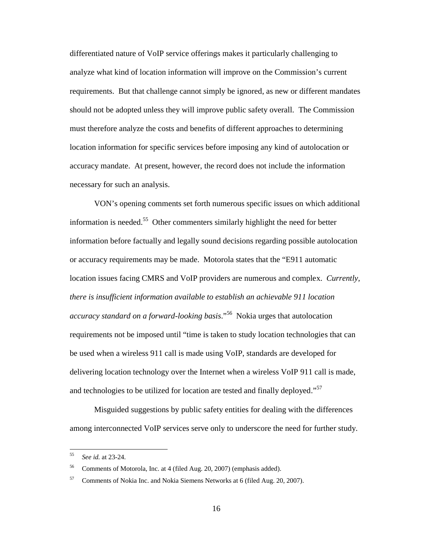differentiated nature of VoIP service offerings makes it particularly challenging to analyze what kind of location information will improve on the Commission's current requirements. But that challenge cannot simply be ignored, as new or different mandates should not be adopted unless they will improve public safety overall. The Commission must therefore analyze the costs and benefits of different approaches to determining location information for specific services before imposing any kind of autolocation or accuracy mandate. At present, however, the record does not include the information necessary for such an analysis.

VON's opening comments set forth numerous specific issues on which additional information is needed.<sup>55</sup> Other commenters similarly highlight the need for better information before factually and legally sound decisions regarding possible autolocation or accuracy requirements may be made. Motorola states that the "E911 automatic location issues facing CMRS and VoIP providers are numerous and complex. *Currently, there is insufficient information available to establish an achievable 911 location accuracy standard on a forward-looking basis*."<sup>56</sup> Nokia urges that autolocation requirements not be imposed until "time is taken to study location technologies that can be used when a wireless 911 call is made using VoIP, standards are developed for delivering location technology over the Internet when a wireless VoIP 911 call is made, and technologies to be utilized for location are tested and finally deployed."<sup>57</sup>

Misguided suggestions by public safety entities for dealing with the differences among interconnected VoIP services serve only to underscore the need for further study.

<sup>55</sup> *See id.* at 23-24.

<sup>56</sup> Comments of Motorola, Inc. at 4 (filed Aug. 20, 2007) (emphasis added).

<sup>57</sup> Comments of Nokia Inc. and Nokia Siemens Networks at 6 (filed Aug. 20, 2007).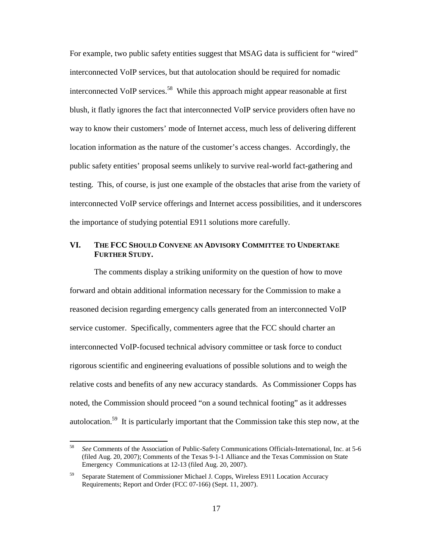For example, two public safety entities suggest that MSAG data is sufficient for "wired" interconnected VoIP services, but that autolocation should be required for nomadic interconnected VoIP services.<sup>58</sup> While this approach might appear reasonable at first blush, it flatly ignores the fact that interconnected VoIP service providers often have no way to know their customers' mode of Internet access, much less of delivering different location information as the nature of the customer's access changes. Accordingly, the public safety entities' proposal seems unlikely to survive real-world fact-gathering and testing. This, of course, is just one example of the obstacles that arise from the variety of interconnected VoIP service offerings and Internet access possibilities, and it underscores the importance of studying potential E911 solutions more carefully.

### **VI. THE FCC SHOULD CONVENE AN ADVISORY COMMITTEE TO UNDERTAKE FURTHER STUDY.**

The comments display a striking uniformity on the question of how to move forward and obtain additional information necessary for the Commission to make a reasoned decision regarding emergency calls generated from an interconnected VoIP service customer. Specifically, commenters agree that the FCC should charter an interconnected VoIP-focused technical advisory committee or task force to conduct rigorous scientific and engineering evaluations of possible solutions and to weigh the relative costs and benefits of any new accuracy standards. As Commissioner Copps has noted, the Commission should proceed "on a sound technical footing" as it addresses autolocation.<sup>59</sup> It is particularly important that the Commission take this step now, at the

<sup>58</sup> *See* Comments of the Association of Public-Safety Communications Officials-International, Inc. at 5-6 (filed Aug. 20, 2007); Comments of the Texas 9-1-1 Alliance and the Texas Commission on State Emergency Communications at 12-13 (filed Aug. 20, 2007).

<sup>59</sup> Separate Statement of Commissioner Michael J. Copps, Wireless E911 Location Accuracy Requirements; Report and Order (FCC 07-166) (Sept. 11, 2007).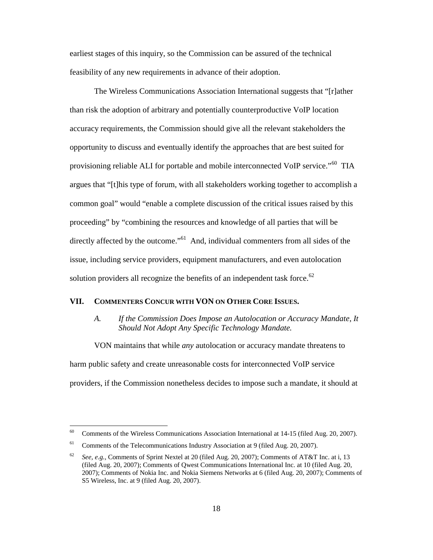earliest stages of this inquiry, so the Commission can be assured of the technical feasibility of any new requirements in advance of their adoption.

The Wireless Communications Association International suggests that "[r]ather than risk the adoption of arbitrary and potentially counterproductive VoIP location accuracy requirements, the Commission should give all the relevant stakeholders the opportunity to discuss and eventually identify the approaches that are best suited for provisioning reliable ALI for portable and mobile interconnected VoIP service."<sup>60</sup> TIA argues that "[t]his type of forum, with all stakeholders working together to accomplish a common goal" would "enable a complete discussion of the critical issues raised by this proceeding" by "combining the resources and knowledge of all parties that will be directly affected by the outcome."<sup>61</sup> And, individual commenters from all sides of the issue, including service providers, equipment manufacturers, and even autolocation solution providers all recognize the benefits of an independent task force.<sup>62</sup>

#### **VII. COMMENTERS CONCUR WITH VON ON OTHER CORE ISSUES.**

#### *A. If the Commission Does Impose an Autolocation or Accuracy Mandate, It Should Not Adopt Any Specific Technology Mandate.*

VON maintains that while *any* autolocation or accuracy mandate threatens to harm public safety and create unreasonable costs for interconnected VoIP service providers, if the Commission nonetheless decides to impose such a mandate, it should at

<sup>&</sup>lt;sup>60</sup> Comments of the Wireless Communications Association International at 14-15 (filed Aug. 20, 2007).

<sup>&</sup>lt;sup>61</sup> Comments of the Telecommunications Industry Association at 9 (filed Aug. 20, 2007).

<sup>62</sup> *See, e.g.,* Comments of Sprint Nextel at 20 (filed Aug. 20, 2007); Comments of AT&T Inc. at i, 13 (filed Aug. 20, 2007); Comments of Qwest Communications International Inc. at 10 (filed Aug. 20, 2007); Comments of Nokia Inc. and Nokia Siemens Networks at 6 (filed Aug. 20, 2007); Comments of S5 Wireless, Inc. at 9 (filed Aug. 20, 2007).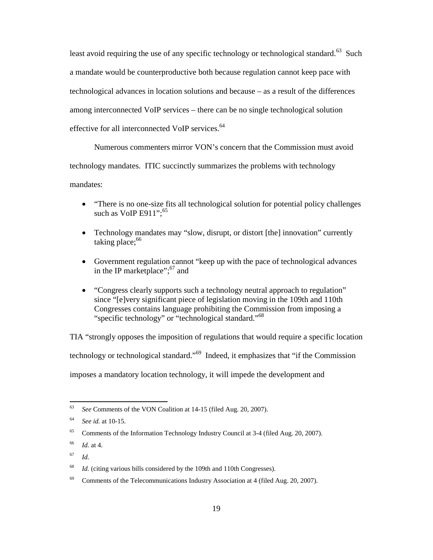least avoid requiring the use of any specific technology or technological standard.<sup>63</sup> Such a mandate would be counterproductive both because regulation cannot keep pace with technological advances in location solutions and because – as a result of the differences among interconnected VoIP services – there can be no single technological solution effective for all interconnected VoIP services.<sup>64</sup>

Numerous commenters mirror VON's concern that the Commission must avoid technology mandates. ITIC succinctly summarizes the problems with technology mandates:

- "There is no one-size fits all technological solution for potential policy challenges such as VoIP E911": $65$
- Technology mandates may "slow, disrupt, or distort [the] innovation" currently taking place; $66$
- Government regulation cannot "keep up with the pace of technological advances in the IP marketplace";<sup>67</sup> and
- "Congress clearly supports such a technology neutral approach to regulation" since "[e]very significant piece of legislation moving in the 109th and 110th Congresses contains language prohibiting the Commission from imposing a "specific technology" or "technological standard."<sup>68</sup>

TIA "strongly opposes the imposition of regulations that would require a specific location technology or technological standard."<sup>69</sup> Indeed, it emphasizes that "if the Commission imposes a mandatory location technology, it will impede the development and

<sup>63</sup> *See* Comments of the VON Coalition at 14-15 (filed Aug. 20, 2007).

<sup>64</sup> *See id.* at 10-15.

<sup>&</sup>lt;sup>65</sup> Comments of the Information Technology Industry Council at 3-4 (filed Aug. 20, 2007).

<sup>66</sup> *Id.* at 4.

<sup>67</sup> *Id.*

<sup>&</sup>lt;sup>68</sup> *Id.* (citing various bills considered by the 109th and 110th Congresses).

 $69$  Comments of the Telecommunications Industry Association at 4 (filed Aug. 20, 2007).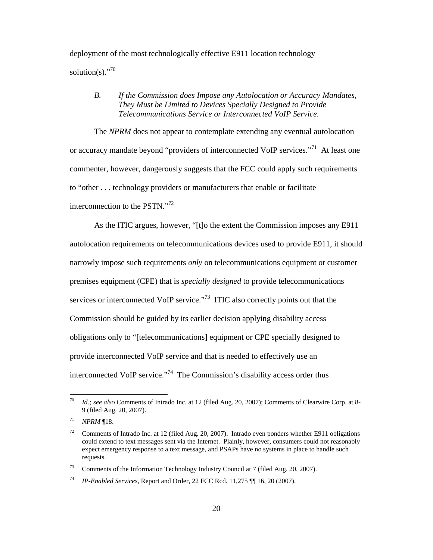deployment of the most technologically effective E911 location technology solution(s) $.^{970}$ 

#### *B. If the Commission does Impose any Autolocation or Accuracy Mandates, They Must be Limited to Devices Specially Designed to Provide Telecommunications Service or Interconnected VoIP Service.*

The *NPRM* does not appear to contemplate extending any eventual autolocation or accuracy mandate beyond "providers of interconnected VoIP services."<sup>71</sup> At least one commenter, however, dangerously suggests that the FCC could apply such requirements to "other . . . technology providers or manufacturers that enable or facilitate interconnection to the PSTN."<sup>72</sup>

As the ITIC argues, however, "[t]o the extent the Commission imposes any E911 autolocation requirements on telecommunications devices used to provide E911, it should narrowly impose such requirements *only* on telecommunications equipment or customer premises equipment (CPE) that is *specially designed* to provide telecommunications services or interconnected VoIP service."<sup>73</sup> ITIC also correctly points out that the Commission should be guided by its earlier decision applying disability access obligations only to "[telecommunications] equipment or CPE specially designed to provide interconnected VoIP service and that is needed to effectively use an interconnected VoIP service. $174$  The Commission's disability access order thus

<sup>70</sup> *Id.; see also* Comments of Intrado Inc. at 12 (filed Aug. 20, 2007); Comments of Clearwire Corp. at 8- 9 (filed Aug. 20, 2007).

<sup>71</sup> *NPRM* ¶18.

<sup>72</sup> Comments of Intrado Inc. at 12 (filed Aug. 20, 2007). Intrado even ponders whether E911 obligations could extend to text messages sent via the Internet. Plainly, however, consumers could not reasonably expect emergency response to a text message, and PSAPs have no systems in place to handle such requests.

<sup>73</sup> Comments of the Information Technology Industry Council at 7 (filed Aug. 20, 2007).

<sup>74</sup> *IP-Enabled Services*, Report and Order, 22 FCC Rcd. 11,275 ¶¶ 16, 20 (2007).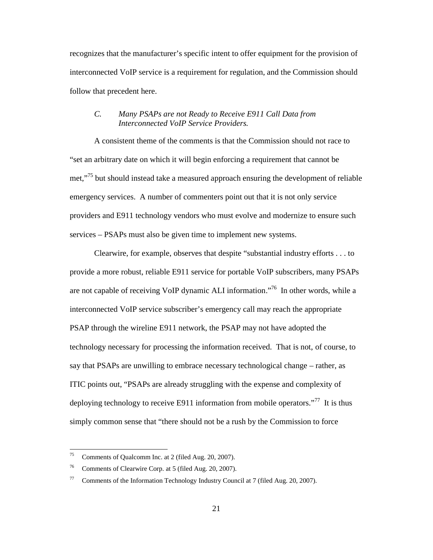recognizes that the manufacturer's specific intent to offer equipment for the provision of interconnected VoIP service is a requirement for regulation, and the Commission should follow that precedent here.

#### *C. Many PSAPs are not Ready to Receive E911 Call Data from Interconnected VoIP Service Providers.*

A consistent theme of the comments is that the Commission should not race to "set an arbitrary date on which it will begin enforcing a requirement that cannot be met."<sup>75</sup> but should instead take a measured approach ensuring the development of reliable emergency services. A number of commenters point out that it is not only service providers and E911 technology vendors who must evolve and modernize to ensure such services – PSAPs must also be given time to implement new systems.

Clearwire, for example, observes that despite "substantial industry efforts . . . to provide a more robust, reliable E911 service for portable VoIP subscribers, many PSAPs are not capable of receiving VoIP dynamic ALI information."<sup>76</sup> In other words, while a interconnected VoIP service subscriber's emergency call may reach the appropriate PSAP through the wireline E911 network, the PSAP may not have adopted the technology necessary for processing the information received. That is not, of course, to say that PSAPs are unwilling to embrace necessary technological change – rather, as ITIC points out, "PSAPs are already struggling with the expense and complexity of deploying technology to receive E911 information from mobile operators."<sup>77</sup> It is thus simply common sense that "there should not be a rush by the Commission to force

<sup>75</sup> Comments of Qualcomm Inc. at 2 (filed Aug. 20, 2007).

<sup>76</sup> Comments of Clearwire Corp. at 5 (filed Aug. 20, 2007).

<sup>77</sup> Comments of the Information Technology Industry Council at 7 (filed Aug. 20, 2007).